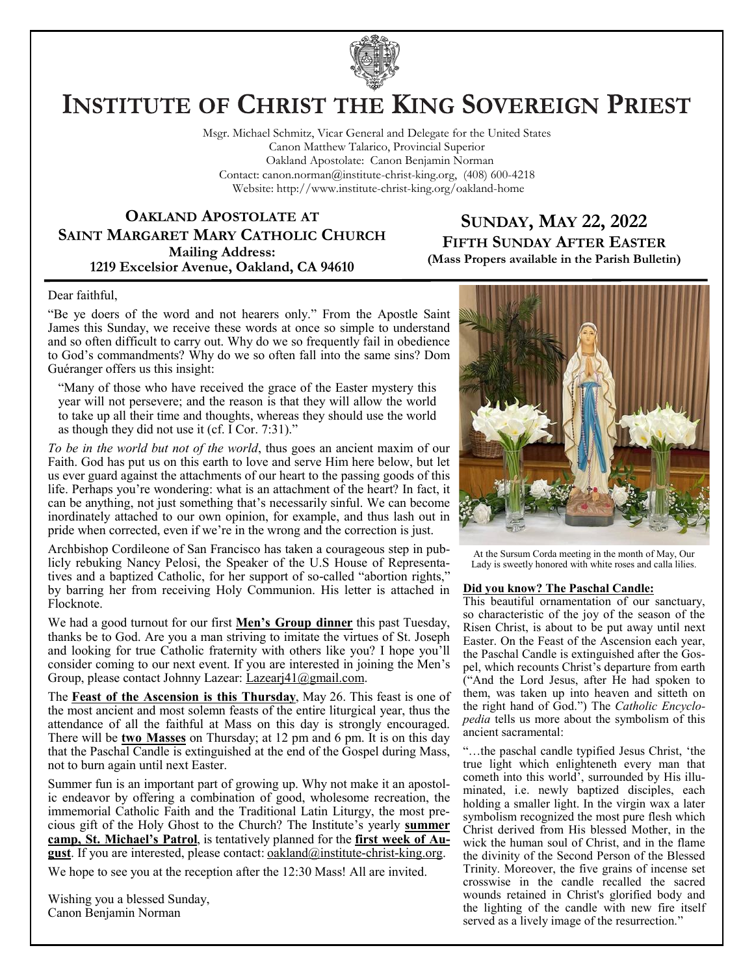

# **INSTITUTE OF CHRIST THE KING SOVEREIGN PRIEST**

Msgr. Michael Schmitz, Vicar General and Delegate for the United States Canon Matthew Talarico, Provincial Superior Oakland Apostolate: Canon Benjamin Norman Contact: canon.norman@institute-christ-king.org, (408) 600-4218 Website: http://www.institute-christ-king.org/oakland-home

#### **OAKLAND APOSTOLATE AT SAINT MARGARET MARY CATHOLIC CHURCH Mailing Address: 1219 Excelsior Avenue, Oakland, CA 94610**

### **SUNDAY, MAY 22, 2022 FIFTH SUNDAY AFTER EASTER (Mass Propers available in the Parish Bulletin)**

Dear faithful,

"Be ye doers of the word and not hearers only." From the Apostle Saint James this Sunday, we receive these words at once so simple to understand and so often difficult to carry out. Why do we so frequently fail in obedience to God's commandments? Why do we so often fall into the same sins? Dom Guéranger offers us this insight:

"Many of those who have received the grace of the Easter mystery this year will not persevere; and the reason is that they will allow the world to take up all their time and thoughts, whereas they should use the world as though they did not use it (cf. I Cor. 7:31)."

*To be in the world but not of the world*, thus goes an ancient maxim of our Faith. God has put us on this earth to love and serve Him here below, but let us ever guard against the attachments of our heart to the passing goods of this life. Perhaps you're wondering: what is an attachment of the heart? In fact, it can be anything, not just something that's necessarily sinful. We can become inordinately attached to our own opinion, for example, and thus lash out in pride when corrected, even if we're in the wrong and the correction is just.

Archbishop Cordileone of San Francisco has taken a courageous step in publicly rebuking Nancy Pelosi, the Speaker of the U.S House of Representatives and a baptized Catholic, for her support of so-called "abortion rights," by barring her from receiving Holy Communion. His letter is attached in Flocknote.

We had a good turnout for our first **Men's Group dinner** this past Tuesday, thanks be to God. Are you a man striving to imitate the virtues of St. Joseph and looking for true Catholic fraternity with others like you? I hope you'll consider coming to our next event. If you are interested in joining the Men's Group, please contact Johnny Lazear: [Lazearj41@gmail.com.](mailto:Lazearj41@gmail.com)

The **Feast of the Ascension is this Thursday**, May 26. This feast is one of the most ancient and most solemn feasts of the entire liturgical year, thus the attendance of all the faithful at Mass on this day is strongly encouraged. There will be **two Masses** on Thursday; at 12 pm and 6 pm. It is on this day that the Paschal Candle is extinguished at the end of the Gospel during Mass, not to burn again until next Easter.

Summer fun is an important part of growing up. Why not make it an apostolic endeavor by offering a combination of good, wholesome recreation, the immemorial Catholic Faith and the Traditional Latin Liturgy, the most precious gift of the Holy Ghost to the Church? The Institute's yearly **summer camp, St. Michael's Patrol**, is tentatively planned for the **first week of August**. If you are interested, please contact: [oakland@institute-christ-king.org.](mailto:oakland@institute-christ-king.org)

We hope to see you at the reception after the 12:30 Mass! All are invited.

Wishing you a blessed Sunday, Canon Benjamin Norman



At the Sursum Corda meeting in the month of May, Our Lady is sweetly honored with white roses and calla lilies.

#### **Did you know? The Paschal Candle:**

This beautiful ornamentation of our sanctuary, so characteristic of the joy of the season of the Risen Christ, is about to be put away until next Easter. On the Feast of the Ascension each year, the Paschal Candle is extinguished after the Gospel, which recounts Christ's departure from earth ("And the Lord Jesus, after He had spoken to them, was taken up into heaven and sitteth on the right hand of God.") The *Catholic Encyclopedia* tells us more about the symbolism of this ancient sacramental:

"…the paschal candle typified Jesus Christ, 'the true light which enlighteneth every man that cometh into this world', surrounded by His illuminated, i.e. newly baptized disciples, each holding a smaller light. In the virgin wax a later symbolism recognized the most pure flesh which Christ derived from His blessed Mother, in the wick the human soul of Christ, and in the flame the divinity of the Second Person of the Blessed Trinity. Moreover, the five grains of incense set crosswise in the candle recalled the sacred wounds retained in Christ's glorified body and the lighting of the candle with new fire itself served as a lively image of the resurrection."